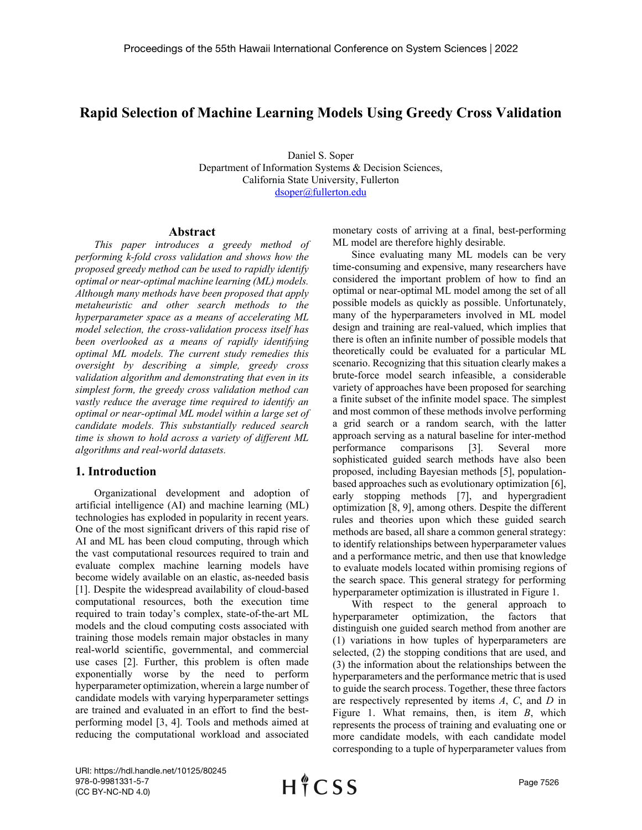# **Rapid Selection of Machine Learning Models Using Greedy Cross Validation**

Daniel S. Soper Department of Information Systems & Decision Sciences, California State University, Fullerton [dsoper@fullerton.edu](mailto:dsoper@fullerton.edu)

#### **Abstract**

*This paper introduces a greedy method of performing k-fold cross validation and shows how the proposed greedy method can be used to rapidly identify optimal or near-optimal machine learning (ML) models. Although many methods have been proposed that apply metaheuristic and other search methods to the hyperparameter space as a means of accelerating ML model selection, the cross-validation process itself has been overlooked as a means of rapidly identifying optimal ML models. The current study remedies this oversight by describing a simple, greedy cross validation algorithm and demonstrating that even in its simplest form, the greedy cross validation method can vastly reduce the average time required to identify an optimal or near-optimal ML model within a large set of candidate models. This substantially reduced search time is shown to hold across a variety of different ML algorithms and real-world datasets.*

#### **1. Introduction**

Organizational development and adoption of artificial intelligence (AI) and machine learning (ML) technologies has exploded in popularity in recent years. One of the most significant drivers of this rapid rise of AI and ML has been cloud computing, through which the vast computational resources required to train and evaluate complex machine learning models have become widely available on an elastic, as-needed basis [1]. Despite the widespread availability of cloud-based computational resources, both the execution time required to train today's complex, state-of-the-art ML models and the cloud computing costs associated with training those models remain major obstacles in many real-world scientific, governmental, and commercial use cases [2]. Further, this problem is often made exponentially worse by the need to perform hyperparameter optimization, wherein a large number of candidate models with varying hyperparameter settings are trained and evaluated in an effort to find the bestperforming model [3, 4]. Tools and methods aimed at reducing the computational workload and associated

monetary costs of arriving at a final, best-performing ML model are therefore highly desirable.

Since evaluating many ML models can be very time-consuming and expensive, many researchers have considered the important problem of how to find an optimal or near-optimal ML model among the set of all possible models as quickly as possible. Unfortunately, many of the hyperparameters involved in ML model design and training are real-valued, which implies that there is often an infinite number of possible models that theoretically could be evaluated for a particular ML scenario. Recognizing that this situation clearly makes a brute-force model search infeasible, a considerable variety of approaches have been proposed for searching a finite subset of the infinite model space. The simplest and most common of these methods involve performing a grid search or a random search, with the latter approach serving as a natural baseline for inter-method performance comparisons [3]. Several more sophisticated guided search methods have also been proposed, including Bayesian methods [5], populationbased approaches such as evolutionary optimization [6], early stopping methods [7], and hypergradient optimization [8, 9], among others. Despite the different rules and theories upon which these guided search methods are based, all share a common general strategy: to identify relationships between hyperparameter values and a performance metric, and then use that knowledge to evaluate models located within promising regions of the search space. This general strategy for performing hyperparameter optimization is illustrated in Figure 1.

With respect to the general approach to hyperparameter optimization, the factors that distinguish one guided search method from another are (1) variations in how tuples of hyperparameters are selected, (2) the stopping conditions that are used, and (3) the information about the relationships between the hyperparameters and the performance metric that is used to guide the search process. Together, these three factors are respectively represented by items *A*, *C*, and *D* in Figure 1. What remains, then, is item *B*, which represents the process of training and evaluating one or more candidate models, with each candidate model corresponding to a tuple of hyperparameter values from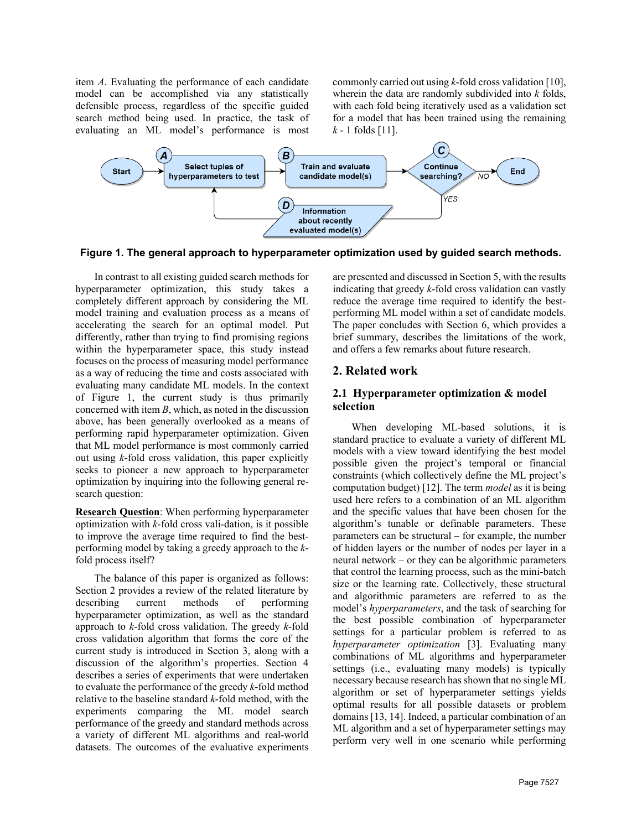item *A*. Evaluating the performance of each candidate model can be accomplished via any statistically defensible process, regardless of the specific guided search method being used. In practice, the task of evaluating an ML model's performance is most commonly carried out using *k*-fold cross validation [10], wherein the data are randomly subdivided into *k* folds, with each fold being iteratively used as a validation set for a model that has been trained using the remaining *k* - 1 folds [11].



**Figure 1. The general approach to hyperparameter optimization used by guided search methods.**

In contrast to all existing guided search methods for hyperparameter optimization, this study takes a completely different approach by considering the ML model training and evaluation process as a means of accelerating the search for an optimal model. Put differently, rather than trying to find promising regions within the hyperparameter space, this study instead focuses on the process of measuring model performance as a way of reducing the time and costs associated with evaluating many candidate ML models. In the context of Figure 1, the current study is thus primarily concerned with item *B*, which, as noted in the discussion above, has been generally overlooked as a means of performing rapid hyperparameter optimization. Given that ML model performance is most commonly carried out using *k*-fold cross validation, this paper explicitly seeks to pioneer a new approach to hyperparameter optimization by inquiring into the following general research question:

**Research Question**: When performing hyperparameter optimization with *k*-fold cross vali-dation, is it possible to improve the average time required to find the bestperforming model by taking a greedy approach to the *k*fold process itself?

The balance of this paper is organized as follows: Section 2 provides a review of the related literature by describing current methods of performing hyperparameter optimization, as well as the standard approach to *k*-fold cross validation. The greedy *k*-fold cross validation algorithm that forms the core of the current study is introduced in Section 3, along with a discussion of the algorithm's properties. Section 4 describes a series of experiments that were undertaken to evaluate the performance of the greedy *k*-fold method relative to the baseline standard *k*-fold method, with the experiments comparing the ML model search performance of the greedy and standard methods across a variety of different ML algorithms and real-world datasets. The outcomes of the evaluative experiments

are presented and discussed in Section 5, with the results indicating that greedy *k*-fold cross validation can vastly reduce the average time required to identify the bestperforming ML model within a set of candidate models. The paper concludes with Section 6, which provides a brief summary, describes the limitations of the work, and offers a few remarks about future research.

# **2. Related work**

# **2.1 Hyperparameter optimization & model selection**

When developing ML-based solutions, it is standard practice to evaluate a variety of different ML models with a view toward identifying the best model possible given the project's temporal or financial constraints (which collectively define the ML project's computation budget) [12]. The term *model* as it is being used here refers to a combination of an ML algorithm and the specific values that have been chosen for the algorithm's tunable or definable parameters. These parameters can be structural – for example, the number of hidden layers or the number of nodes per layer in a neural network – or they can be algorithmic parameters that control the learning process, such as the mini-batch size or the learning rate. Collectively, these structural and algorithmic parameters are referred to as the model's *hyperparameters*, and the task of searching for the best possible combination of hyperparameter settings for a particular problem is referred to as *hyperparameter optimization* [3]. Evaluating many combinations of ML algorithms and hyperparameter settings (i.e., evaluating many models) is typically necessary because research has shown that no single ML algorithm or set of hyperparameter settings yields optimal results for all possible datasets or problem domains [13, 14]. Indeed, a particular combination of an ML algorithm and a set of hyperparameter settings may perform very well in one scenario while performing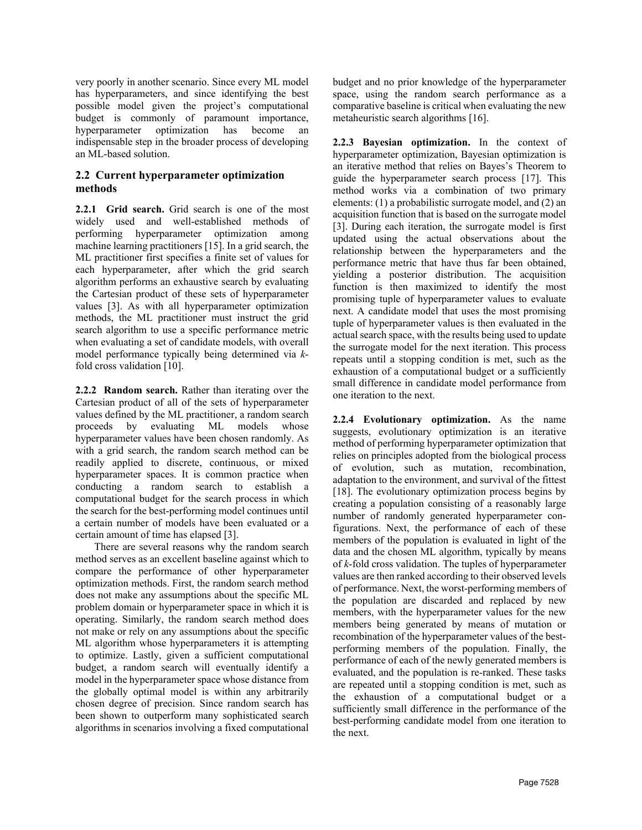very poorly in another scenario. Since every ML model has hyperparameters, and since identifying the best possible model given the project's computational budget is commonly of paramount importance, hyperparameter optimization has become an indispensable step in the broader process of developing an ML-based solution.

# **2.2 Current hyperparameter optimization methods**

**2.2.1 Grid search.** Grid search is one of the most widely used and well-established methods of performing hyperparameter optimization among machine learning practitioners [15]. In a grid search, the ML practitioner first specifies a finite set of values for each hyperparameter, after which the grid search algorithm performs an exhaustive search by evaluating the Cartesian product of these sets of hyperparameter values [3]. As with all hyperparameter optimization methods, the ML practitioner must instruct the grid search algorithm to use a specific performance metric when evaluating a set of candidate models, with overall model performance typically being determined via *k*fold cross validation [10].

**2.2.2 Random search.** Rather than iterating over the Cartesian product of all of the sets of hyperparameter values defined by the ML practitioner, a random search proceeds by evaluating ML models whose hyperparameter values have been chosen randomly. As with a grid search, the random search method can be readily applied to discrete, continuous, or mixed hyperparameter spaces. It is common practice when conducting a random search to establish a computational budget for the search process in which the search for the best-performing model continues until a certain number of models have been evaluated or a certain amount of time has elapsed [3].

There are several reasons why the random search method serves as an excellent baseline against which to compare the performance of other hyperparameter optimization methods. First, the random search method does not make any assumptions about the specific ML problem domain or hyperparameter space in which it is operating. Similarly, the random search method does not make or rely on any assumptions about the specific ML algorithm whose hyperparameters it is attempting to optimize. Lastly, given a sufficient computational budget, a random search will eventually identify a model in the hyperparameter space whose distance from the globally optimal model is within any arbitrarily chosen degree of precision. Since random search has been shown to outperform many sophisticated search algorithms in scenarios involving a fixed computational budget and no prior knowledge of the hyperparameter space, using the random search performance as a comparative baseline is critical when evaluating the new metaheuristic search algorithms [16].

**2.2.3 Bayesian optimization.** In the context of hyperparameter optimization, Bayesian optimization is an iterative method that relies on Bayes's Theorem to guide the hyperparameter search process [17]. This method works via a combination of two primary elements: (1) a probabilistic surrogate model, and (2) an acquisition function that is based on the surrogate model [3]. During each iteration, the surrogate model is first updated using the actual observations about the relationship between the hyperparameters and the performance metric that have thus far been obtained, yielding a posterior distribution. The acquisition function is then maximized to identify the most promising tuple of hyperparameter values to evaluate next. A candidate model that uses the most promising tuple of hyperparameter values is then evaluated in the actual search space, with the results being used to update the surrogate model for the next iteration. This process repeats until a stopping condition is met, such as the exhaustion of a computational budget or a sufficiently small difference in candidate model performance from one iteration to the next.

**2.2.4 Evolutionary optimization.** As the name suggests, evolutionary optimization is an iterative method of performing hyperparameter optimization that relies on principles adopted from the biological process of evolution, such as mutation, recombination, adaptation to the environment, and survival of the fittest [18]. The evolutionary optimization process begins by creating a population consisting of a reasonably large number of randomly generated hyperparameter configurations. Next, the performance of each of these members of the population is evaluated in light of the data and the chosen ML algorithm, typically by means of *k*-fold cross validation. The tuples of hyperparameter values are then ranked according to their observed levels of performance. Next, the worst-performing members of the population are discarded and replaced by new members, with the hyperparameter values for the new members being generated by means of mutation or recombination of the hyperparameter values of the bestperforming members of the population. Finally, the performance of each of the newly generated members is evaluated, and the population is re-ranked. These tasks are repeated until a stopping condition is met, such as the exhaustion of a computational budget or a sufficiently small difference in the performance of the best-performing candidate model from one iteration to the next.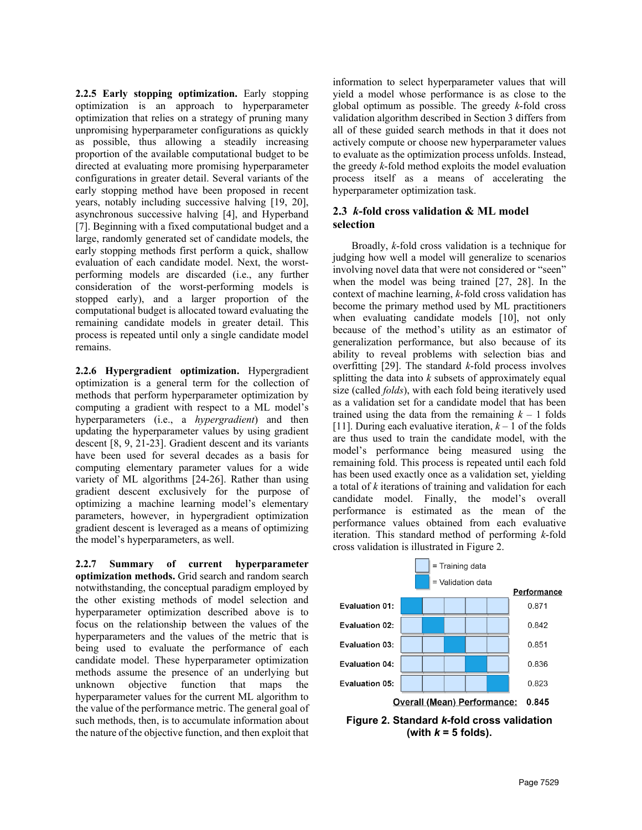**2.2.5 Early stopping optimization.** Early stopping optimization is an approach to hyperparameter optimization that relies on a strategy of pruning many unpromising hyperparameter configurations as quickly as possible, thus allowing a steadily increasing proportion of the available computational budget to be directed at evaluating more promising hyperparameter configurations in greater detail. Several variants of the early stopping method have been proposed in recent years, notably including successive halving [19, 20], asynchronous successive halving [4], and Hyperband [7]. Beginning with a fixed computational budget and a large, randomly generated set of candidate models, the early stopping methods first perform a quick, shallow evaluation of each candidate model. Next, the worstperforming models are discarded (i.e., any further consideration of the worst-performing models is stopped early), and a larger proportion of the computational budget is allocated toward evaluating the remaining candidate models in greater detail. This process is repeated until only a single candidate model remains.

**2.2.6 Hypergradient optimization.** Hypergradient optimization is a general term for the collection of methods that perform hyperparameter optimization by computing a gradient with respect to a ML model's hyperparameters (i.e., a *hypergradient*) and then updating the hyperparameter values by using gradient descent [8, 9, 21-23]. Gradient descent and its variants have been used for several decades as a basis for computing elementary parameter values for a wide variety of ML algorithms [24-26]. Rather than using gradient descent exclusively for the purpose of optimizing a machine learning model's elementary parameters, however, in hypergradient optimization gradient descent is leveraged as a means of optimizing the model's hyperparameters, as well.

**2.2.7 Summary of current hyperparameter optimization methods.** Grid search and random search notwithstanding, the conceptual paradigm employed by the other existing methods of model selection and hyperparameter optimization described above is to focus on the relationship between the values of the hyperparameters and the values of the metric that is being used to evaluate the performance of each candidate model. These hyperparameter optimization methods assume the presence of an underlying but unknown objective function that maps the hyperparameter values for the current ML algorithm to the value of the performance metric. The general goal of such methods, then, is to accumulate information about the nature of the objective function, and then exploit that

information to select hyperparameter values that will yield a model whose performance is as close to the global optimum as possible. The greedy *k*-fold cross validation algorithm described in Section 3 differs from all of these guided search methods in that it does not actively compute or choose new hyperparameter values to evaluate as the optimization process unfolds. Instead, the greedy *k*-fold method exploits the model evaluation process itself as a means of accelerating the hyperparameter optimization task.

## **2.3** *k***-fold cross validation & ML model selection**

Broadly, *k*-fold cross validation is a technique for judging how well a model will generalize to scenarios involving novel data that were not considered or "seen" when the model was being trained [27, 28]. In the context of machine learning, *k*-fold cross validation has become the primary method used by ML practitioners when evaluating candidate models [10], not only because of the method's utility as an estimator of generalization performance, but also because of its ability to reveal problems with selection bias and overfitting [29]. The standard *k*-fold process involves splitting the data into *k* subsets of approximately equal size (called *folds*), with each fold being iteratively used as a validation set for a candidate model that has been trained using the data from the remaining  $k - 1$  folds [11]. During each evaluative iteration,  $k - 1$  of the folds are thus used to train the candidate model, with the model's performance being measured using the remaining fold. This process is repeated until each fold has been used exactly once as a validation set, yielding a total of *k* iterations of training and validation for each candidate model. Finally, the model's overall performance is estimated as the mean of the performance values obtained from each evaluative iteration. This standard method of performing *k*-fold cross validation is illustrated in Figure 2.



(with  $k = 5$  folds).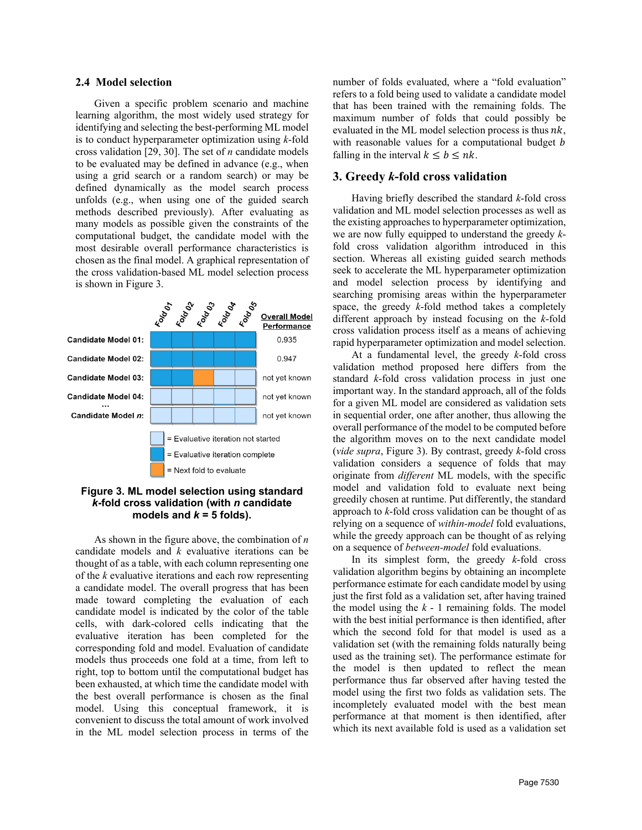#### **2.4 Model selection**

Given a specific problem scenario and machine learning algorithm, the most widely used strategy for identifying and selecting the best-performing ML model is to conduct hyperparameter optimization using *k*-fold cross validation [29, 30]. The set of *n* candidate models to be evaluated may be defined in advance (e.g., when using a grid search or a random search) or may be defined dynamically as the model search process unfolds (e.g., when using one of the guided search methods described previously). After evaluating as many models as possible given the constraints of the computational budget, the candidate model with the most desirable overall performance characteristics is chosen as the final model. A graphical representation of the cross validation-based ML model selection process is shown in Figure 3.



## **Figure 3. ML model selection using standard**  *k***-fold cross validation (with** *n* **candidate**  models and  $k = 5$  folds).

As shown in the figure above, the combination of *n* candidate models and *k* evaluative iterations can be thought of as a table, with each column representing one of the *k* evaluative iterations and each row representing a candidate model. The overall progress that has been made toward completing the evaluation of each candidate model is indicated by the color of the table cells, with dark-colored cells indicating that the evaluative iteration has been completed for the corresponding fold and model. Evaluation of candidate models thus proceeds one fold at a time, from left to right, top to bottom until the computational budget has been exhausted, at which time the candidate model with the best overall performance is chosen as the final model. Using this conceptual framework, it is convenient to discuss the total amount of work involved in the ML model selection process in terms of the

number of folds evaluated, where a "fold evaluation" refers to a fold being used to validate a candidate model that has been trained with the remaining folds. The maximum number of folds that could possibly be evaluated in the ML model selection process is thus  $nk$ , with reasonable values for a computational budget *b* falling in the interval  $k \leq b \leq nk$ .

#### **3. Greedy** *k***-fold cross validation**

Having briefly described the standard *k*-fold cross validation and ML model selection processes as well as the existing approaches to hyperparameter optimization, we are now fully equipped to understand the greedy *k*fold cross validation algorithm introduced in this section. Whereas all existing guided search methods seek to accelerate the ML hyperparameter optimization and model selection process by identifying and searching promising areas within the hyperparameter space, the greedy *k*-fold method takes a completely different approach by instead focusing on the *k*-fold cross validation process itself as a means of achieving rapid hyperparameter optimization and model selection.

At a fundamental level, the greedy *k*-fold cross validation method proposed here differs from the standard *k*-fold cross validation process in just one important way. In the standard approach, all of the folds for a given ML model are considered as validation sets in sequential order, one after another, thus allowing the overall performance of the model to be computed before the algorithm moves on to the next candidate model (*vide supra*, Figure 3). By contrast, greedy *k*-fold cross validation considers a sequence of folds that may originate from *different* ML models, with the specific model and validation fold to evaluate next being greedily chosen at runtime. Put differently, the standard approach to *k*-fold cross validation can be thought of as relying on a sequence of *within-model* fold evaluations, while the greedy approach can be thought of as relying on a sequence of *between-model* fold evaluations.

In its simplest form, the greedy *k*-fold cross validation algorithm begins by obtaining an incomplete performance estimate for each candidate model by using just the first fold as a validation set, after having trained the model using the  $k - 1$  remaining folds. The model with the best initial performance is then identified, after which the second fold for that model is used as a validation set (with the remaining folds naturally being used as the training set). The performance estimate for the model is then updated to reflect the mean performance thus far observed after having tested the model using the first two folds as validation sets. The incompletely evaluated model with the best mean performance at that moment is then identified, after which its next available fold is used as a validation set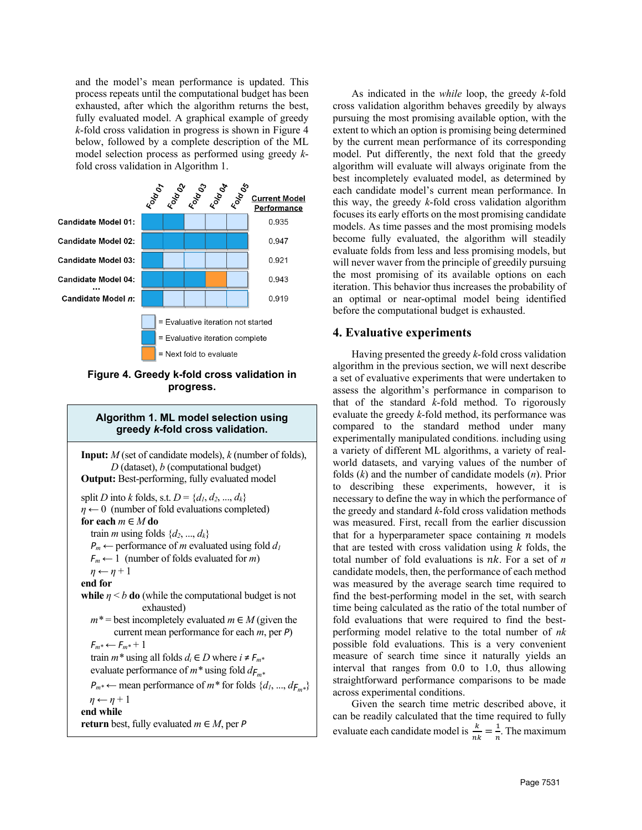and the model's mean performance is updated. This process repeats until the computational budget has been exhausted, after which the algorithm returns the best, fully evaluated model. A graphical example of greedy *k*-fold cross validation in progress is shown in Figure 4 below, followed by a complete description of the ML model selection process as performed using greedy *k*fold cross validation in Algorithm 1.



**Figure 4. Greedy k-fold cross validation in progress.**

## **Algorithm 1. ML model selection using greedy** *k***-fold cross validation.**

**Input:** *M* (set of candidate models), *k* (number of folds), *D* (dataset), *b* (computational budget) **Output:** Best-performing, fully evaluated model split *D* into *k* folds, s.t.  $D = \{d_1, d_2, ..., d_k\}$  $\eta \leftarrow 0$  (number of fold evaluations completed) **for each** *m* ∈ *M* **do** train *m* using folds  $\{d_2, ..., d_k\}$ *P<sub>m</sub>* ← performance of *m* evaluated using fold *d<sub>1</sub>*  $F_m \leftarrow 1$  (number of folds evaluated for *m*)  $\eta \leftarrow \eta + 1$ **end for while**  $\eta \leq b$  **do** (while the computational budget is not exhausted)  $m^*$  = best incompletely evaluated  $m \in M$  (given the current mean performance for each *m*, per *Ρ*)  $F_m^* \leftarrow F_m^* + 1$ train  $m^*$  using all folds  $d_i \in D$  where  $i \neq F_m^*$  evaluate performance of *m\** using fold *dFm\* P*<sup>*m*\*</sup> ← mean performance of *m*<sup>\*</sup> for folds {*d<sub>1</sub>*, ..., *d*<sub>*F*<sup>*m*\*}</sub></sub></sup>  $\eta \leftarrow \eta + 1$ **end while return** best, fully evaluated *m* ∈ *M*, per *Ρ*

As indicated in the *while* loop, the greedy *k*-fold cross validation algorithm behaves greedily by always pursuing the most promising available option, with the extent to which an option is promising being determined by the current mean performance of its corresponding model. Put differently, the next fold that the greedy algorithm will evaluate will always originate from the best incompletely evaluated model, as determined by each candidate model's current mean performance. In this way, the greedy *k*-fold cross validation algorithm focuses its early efforts on the most promising candidate models. As time passes and the most promising models become fully evaluated, the algorithm will steadily evaluate folds from less and less promising models, but will never waver from the principle of greedily pursuing the most promising of its available options on each iteration. This behavior thus increases the probability of an optimal or near-optimal model being identified before the computational budget is exhausted.

## **4. Evaluative experiments**

Having presented the greedy *k*-fold cross validation algorithm in the previous section, we will next describe a set of evaluative experiments that were undertaken to assess the algorithm's performance in comparison to that of the standard *k*-fold method. To rigorously evaluate the greedy *k*-fold method, its performance was compared to the standard method under many experimentally manipulated conditions. including using a variety of different ML algorithms, a variety of realworld datasets, and varying values of the number of folds (*k*) and the number of candidate models (*n*). Prior to describing these experiments, however, it is necessary to define the way in which the performance of the greedy and standard *k*-fold cross validation methods was measured. First, recall from the earlier discussion that for a hyperparameter space containing  $n$  models that are tested with cross validation using  $k$  folds, the total number of fold evaluations is  $nk$ . For a set of  $n$ candidate models, then, the performance of each method was measured by the average search time required to find the best-performing model in the set, with search time being calculated as the ratio of the total number of fold evaluations that were required to find the bestperforming model relative to the total number of *nk* possible fold evaluations. This is a very convenient measure of search time since it naturally yields an interval that ranges from 0.0 to 1.0, thus allowing straightforward performance comparisons to be made across experimental conditions.

Given the search time metric described above, it can be readily calculated that the time required to fully evaluate each candidate model is  $\frac{k}{nk} = \frac{1}{n}$ . The maximum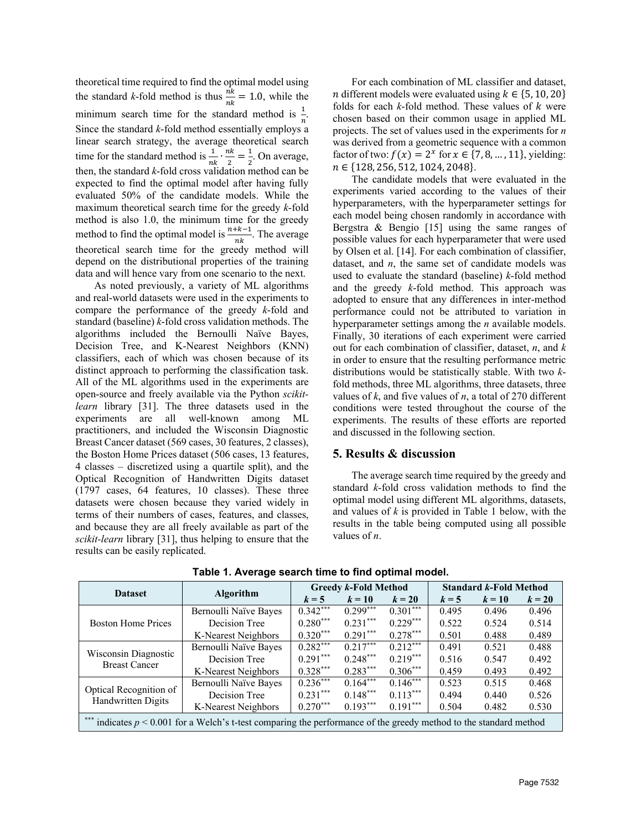theoretical time required to find the optimal model using the standard *k*-fold method is thus  $\frac{nk}{nk} = 1.0$ , while the minimum search time for the standard method is  $\frac{1}{n}$ . Since the standard *k*-fold method essentially employs a linear search strategy, the average theoretical search time for the standard method is  $\frac{1}{nk} \cdot \frac{nk}{2} = \frac{1}{2}$ . On average, then, the standard *k*-fold cross validation method can be expected to find the optimal model after having fully evaluated 50% of the candidate models. While the maximum theoretical search time for the greedy *k*-fold method is also 1.0, the minimum time for the greedy method to find the optimal model is  $\frac{n+k-1}{nk}$ . The average theoretical search time for the greedy method will depend on the distributional properties of the training data and will hence vary from one scenario to the next.

As noted previously, a variety of ML algorithms and real-world datasets were used in the experiments to compare the performance of the greedy *k*-fold and standard (baseline) *k*-fold cross validation methods. The algorithms included the Bernoulli Naïve Bayes, Decision Tree, and K-Nearest Neighbors (KNN) classifiers, each of which was chosen because of its distinct approach to performing the classification task. All of the ML algorithms used in the experiments are open-source and freely available via the Python *scikitlearn* library [31]. The three datasets used in the experiments are all well-known among ML practitioners, and included the Wisconsin Diagnostic Breast Cancer dataset (569 cases, 30 features, 2 classes), the Boston Home Prices dataset (506 cases, 13 features, 4 classes – discretized using a quartile split), and the Optical Recognition of Handwritten Digits dataset (1797 cases, 64 features, 10 classes). These three datasets were chosen because they varied widely in terms of their numbers of cases, features, and classes, and because they are all freely available as part of the *scikit-learn* library [31], thus helping to ensure that the results can be easily replicated.

For each combination of ML classifier and dataset, n different models were evaluated using  $k \in \{5, 10, 20\}$ folds for each  $k$ -fold method. These values of  $k$  were chosen based on their common usage in applied ML projects. The set of values used in the experiments for *n* was derived from a geometric sequence with a common factor of two:  $f(x) = 2^x$  for  $x \in \{7, 8, ..., 11\}$ , yielding:  $n \in \{128, 256, 512, 1024, 2048\}.$ 

The candidate models that were evaluated in the experiments varied according to the values of their hyperparameters, with the hyperparameter settings for each model being chosen randomly in accordance with Bergstra & Bengio [15] using the same ranges of possible values for each hyperparameter that were used by Olsen et al. [14]. For each combination of classifier, dataset, and *n*, the same set of candidate models was used to evaluate the standard (baseline) *k*-fold method and the greedy *k*-fold method. This approach was adopted to ensure that any differences in inter-method performance could not be attributed to variation in hyperparameter settings among the *n* available models. Finally, 30 iterations of each experiment were carried out for each combination of classifier, dataset, *n*, and *k* in order to ensure that the resulting performance metric distributions would be statistically stable. With two *k*fold methods, three ML algorithms, three datasets, three values of *k*, and five values of *n*, a total of 270 different conditions were tested throughout the course of the experiments. The results of these efforts are reported and discussed in the following section.

### **5. Results & discussion**

The average search time required by the greedy and standard *k*-fold cross validation methods to find the optimal model using different ML algorithms, datasets, and values of *k* is provided in Table 1 below, with the results in the table being computed using all possible values of *n*.

| <b>Dataset</b>                                                                                                       | <b>Algorithm</b>      | <b>Greedy k-Fold Method</b> |            |            | <b>Standard k-Fold Method</b> |        |        |
|----------------------------------------------------------------------------------------------------------------------|-----------------------|-----------------------------|------------|------------|-------------------------------|--------|--------|
|                                                                                                                      |                       | $k = 5$                     | $k=10$     | $k=20$     | $k = 5$                       | $k=10$ | $k=20$ |
| <b>Boston Home Prices</b>                                                                                            | Bernoulli Naïve Bayes | $0.342***$                  | $0.299***$ | $0.301***$ | 0.495                         | 0.496  | 0.496  |
|                                                                                                                      | Decision Tree         | $0.280***$                  | $0.231***$ | $0.229***$ | 0.522                         | 0.524  | 0.514  |
|                                                                                                                      | K-Nearest Neighbors   | $0.320***$                  | $0.291***$ | $0.278***$ | 0.501                         | 0.488  | 0.489  |
| Wisconsin Diagnostic<br><b>Breast Cancer</b>                                                                         | Bernoulli Naïve Bayes | $0.282***$                  | $0.217***$ | $0.212***$ | 0.491                         | 0.521  | 0.488  |
|                                                                                                                      | Decision Tree         | $0.291***$                  | $0.248***$ | $0.219***$ | 0.516                         | 0.547  | 0.492  |
|                                                                                                                      | K-Nearest Neighbors   | $0.328***$                  | $0.283***$ | $0.306***$ | 0.459                         | 0.493  | 0.492  |
| Optical Recognition of<br>Handwritten Digits                                                                         | Bernoulli Naïve Bayes | $0.236***$                  | $0.164***$ | $0.146***$ | 0.523                         | 0.515  | 0.468  |
|                                                                                                                      | Decision Tree         | $0.231***$                  | $0.148***$ | $0.113***$ | 0.494                         | 0.440  | 0.526  |
|                                                                                                                      | K-Nearest Neighbors   | $0.270***$                  | $0.193***$ | $0.191***$ | 0.504                         | 0.482  | 0.530  |
| *** indicates $p < 0.001$ for a Welch's t-test comparing the performance of the greedy method to the standard method |                       |                             |            |            |                               |        |        |

**Table 1. Average search time to find optimal model.**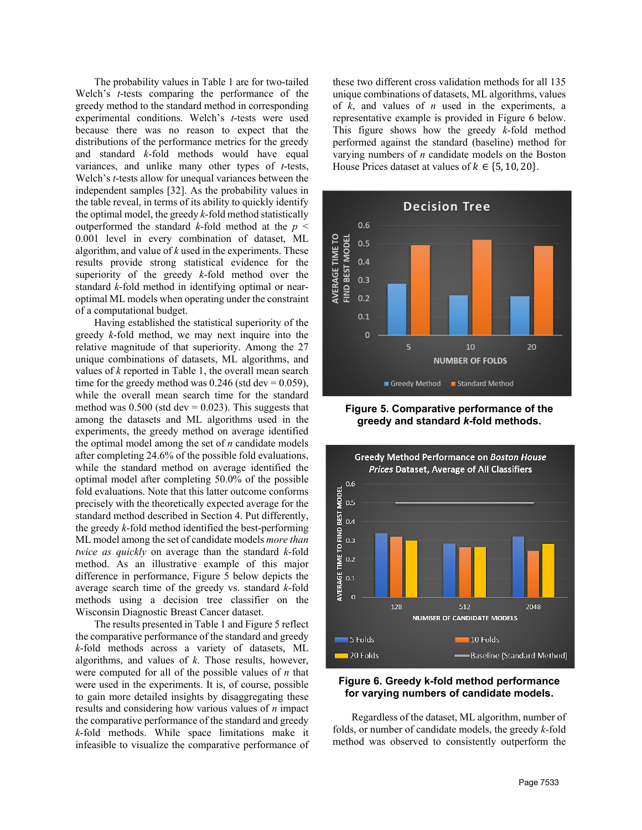The probability values in Table 1 are for two-tailed Welch's *t*-tests comparing the performance of the greedy method to the standard method in corresponding experimental conditions. Welch's *t*-tests were used because there was no reason to expect that the distributions of the performance metrics for the greedy and standard *k*-fold methods would have equal variances, and unlike many other types of *t*-tests, Welch's *t*-tests allow for unequal variances between the independent samples [32]. As the probability values in the table reveal, in terms of its ability to quickly identify the optimal model, the greedy *k*-fold method statistically outperformed the standard *k*-fold method at the  $p <$ 0.001 level in every combination of dataset, ML algorithm, and value of *k* used in the experiments. These results provide strong statistical evidence for the superiority of the greedy *k*-fold method over the standard *k*-fold method in identifying optimal or nearoptimal ML models when operating under the constraint of a computational budget.

Having established the statistical superiority of the greedy *k*-fold method, we may next inquire into the relative magnitude of that superiority. Among the 27 unique combinations of datasets, ML algorithms, and values of *k* reported in Table 1, the overall mean search time for the greedy method was  $0.246$  (std dev =  $0.059$ ), while the overall mean search time for the standard method was  $0.500$  (std dev = 0.023). This suggests that among the datasets and ML algorithms used in the experiments, the greedy method on average identified the optimal model among the set of *n* candidate models after completing 24.6% of the possible fold evaluations, while the standard method on average identified the optimal model after completing 50.0% of the possible fold evaluations. Note that this latter outcome conforms precisely with the theoretically expected average for the standard method described in Section 4. Put differently, the greedy *k*-fold method identified the best-performing ML model among the set of candidate models *more than twice as quickly* on average than the standard *k*-fold method. As an illustrative example of this major difference in performance, Figure 5 below depicts the average search time of the greedy vs. standard *k*-fold methods using a decision tree classifier on the Wisconsin Diagnostic Breast Cancer dataset.

The results presented in Table 1 and Figure 5 reflect the comparative performance of the standard and greedy *k*-fold methods across a variety of datasets, ML algorithms, and values of *k*. Those results, however, were computed for all of the possible values of *n* that were used in the experiments. It is, of course, possible to gain more detailed insights by disaggregating these results and considering how various values of *n* impact the comparative performance of the standard and greedy *k*-fold methods. While space limitations make it infeasible to visualize the comparative performance of

these two different cross validation methods for all 135 unique combinations of datasets, ML algorithms, values of *k*, and values of *n* used in the experiments, a representative example is provided in Figure 6 below. This figure shows how the greedy *k*-fold method performed against the standard (baseline) method for varying numbers of *n* candidate models on the Boston House Prices dataset at values of  $k \in \{5, 10, 20\}$ .



**Figure 5. Comparative performance of the greedy and standard** *k***-fold methods.**



#### **Figure 6. Greedy k-fold method performance for varying numbers of candidate models.**

Regardless of the dataset, ML algorithm, number of folds, or number of candidate models, the greedy *k*-fold method was observed to consistently outperform the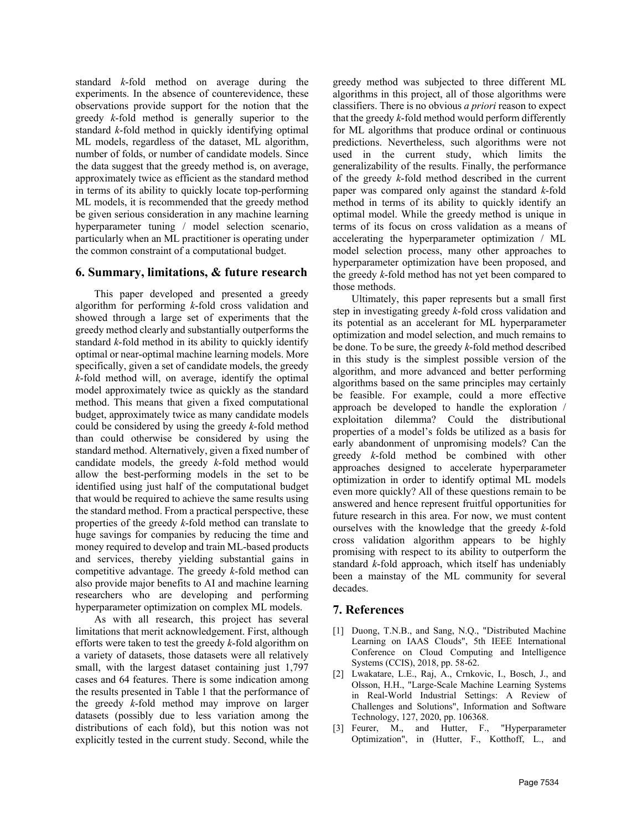standard *k*-fold method on average during the experiments. In the absence of counterevidence, these observations provide support for the notion that the greedy *k*-fold method is generally superior to the standard *k*-fold method in quickly identifying optimal ML models, regardless of the dataset, ML algorithm, number of folds, or number of candidate models. Since the data suggest that the greedy method is, on average, approximately twice as efficient as the standard method in terms of its ability to quickly locate top-performing ML models, it is recommended that the greedy method be given serious consideration in any machine learning hyperparameter tuning / model selection scenario, particularly when an ML practitioner is operating under the common constraint of a computational budget.

#### **6. Summary, limitations, & future research**

This paper developed and presented a greedy algorithm for performing *k*-fold cross validation and showed through a large set of experiments that the greedy method clearly and substantially outperforms the standard *k*-fold method in its ability to quickly identify optimal or near-optimal machine learning models. More specifically, given a set of candidate models, the greedy *k*-fold method will, on average, identify the optimal model approximately twice as quickly as the standard method. This means that given a fixed computational budget, approximately twice as many candidate models could be considered by using the greedy *k*-fold method than could otherwise be considered by using the standard method. Alternatively, given a fixed number of candidate models, the greedy *k*-fold method would allow the best-performing models in the set to be identified using just half of the computational budget that would be required to achieve the same results using the standard method. From a practical perspective, these properties of the greedy *k*-fold method can translate to huge savings for companies by reducing the time and money required to develop and train ML-based products and services, thereby yielding substantial gains in competitive advantage. The greedy *k*-fold method can also provide major benefits to AI and machine learning researchers who are developing and performing hyperparameter optimization on complex ML models.

As with all research, this project has several limitations that merit acknowledgement. First, although efforts were taken to test the greedy *k*-fold algorithm on a variety of datasets, those datasets were all relatively small, with the largest dataset containing just 1,797 cases and 64 features. There is some indication among the results presented in Table 1 that the performance of the greedy *k*-fold method may improve on larger datasets (possibly due to less variation among the distributions of each fold), but this notion was not explicitly tested in the current study. Second, while the

greedy method was subjected to three different ML algorithms in this project, all of those algorithms were classifiers. There is no obvious *a priori* reason to expect that the greedy *k*-fold method would perform differently for ML algorithms that produce ordinal or continuous predictions. Nevertheless, such algorithms were not used in the current study, which limits the generalizability of the results. Finally, the performance of the greedy *k*-fold method described in the current paper was compared only against the standard *k*-fold method in terms of its ability to quickly identify an optimal model. While the greedy method is unique in terms of its focus on cross validation as a means of accelerating the hyperparameter optimization / ML model selection process, many other approaches to hyperparameter optimization have been proposed, and the greedy *k*-fold method has not yet been compared to those methods.

Ultimately, this paper represents but a small first step in investigating greedy *k*-fold cross validation and its potential as an accelerant for ML hyperparameter optimization and model selection, and much remains to be done. To be sure, the greedy *k*-fold method described in this study is the simplest possible version of the algorithm, and more advanced and better performing algorithms based on the same principles may certainly be feasible. For example, could a more effective approach be developed to handle the exploration / exploitation dilemma? Could the distributional properties of a model's folds be utilized as a basis for early abandonment of unpromising models? Can the greedy *k*-fold method be combined with other approaches designed to accelerate hyperparameter optimization in order to identify optimal ML models even more quickly? All of these questions remain to be answered and hence represent fruitful opportunities for future research in this area. For now, we must content ourselves with the knowledge that the greedy *k*-fold cross validation algorithm appears to be highly promising with respect to its ability to outperform the standard *k*-fold approach, which itself has undeniably been a mainstay of the ML community for several decades.

#### **7. References**

- [1] Duong, T.N.B., and Sang, N.Q., "Distributed Machine Learning on IAAS Clouds", 5th IEEE International Conference on Cloud Computing and Intelligence Systems (CCIS), 2018, pp. 58-62.
- [2] Lwakatare, L.E., Raj, A., Crnkovic, I., Bosch, J., and Olsson, H.H., "Large-Scale Machine Learning Systems in Real-World Industrial Settings: A Review of Challenges and Solutions", Information and Software Technology, 127, 2020, pp. 106368.
- [3] Feurer, M., and Hutter, F., "Hyperparameter Optimization", in (Hutter, F., Kotthoff, L., and